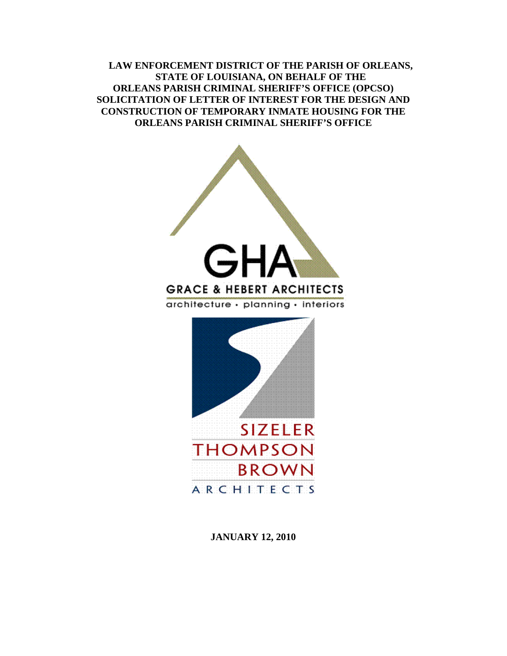**LAW ENFORCEMENT DISTRICT OF THE PARISH OF ORLEANS, STATE OF LOUISIANA, ON BEHALF OF THE ORLEANS PARISH CRIMINAL SHERIFF'S OFFICE (OPCSO) SOLICITATION OF LETTER OF INTEREST FOR THE DESIGN AND CONSTRUCTION OF TEMPORARY INMATE HOUSING FOR THE ORLEANS PARISH CRIMINAL SHERIFF'S OFFICE** 



**JANUARY 12, 2010**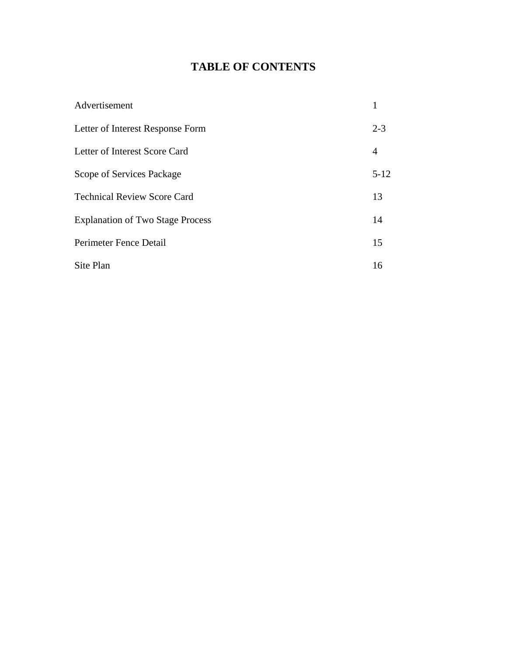# **TABLE OF CONTENTS**

| Advertisement                           | 1        |
|-----------------------------------------|----------|
| Letter of Interest Response Form        | $2 - 3$  |
| Letter of Interest Score Card           | 4        |
| Scope of Services Package               | $5 - 12$ |
| <b>Technical Review Score Card</b>      | 13       |
| <b>Explanation of Two Stage Process</b> | 14       |
| Perimeter Fence Detail                  | 15       |
| Site Plan                               | 16       |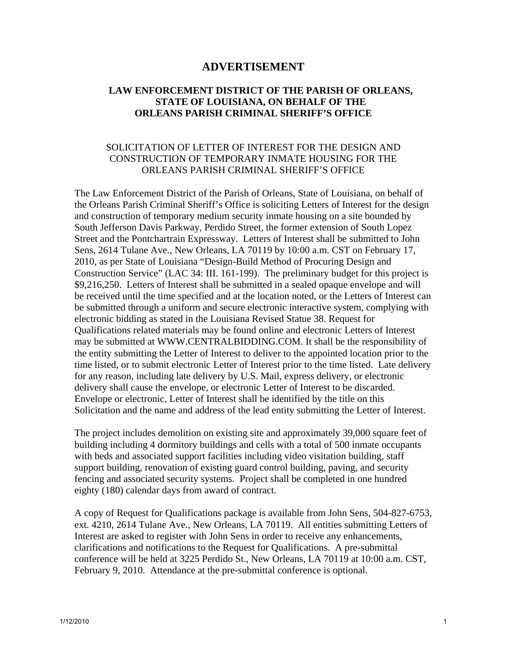# **ADVERTISEMENT**

# **LAW ENFORCEMENT DISTRICT OF THE PARISH OF ORLEANS, STATE OF LOUISIANA, ON BEHALF OF THE ORLEANS PARISH CRIMINAL SHERIFF'S OFFICE**

# SOLICITATION OF LETTER OF INTEREST FOR THE DESIGN AND CONSTRUCTION OF TEMPORARY INMATE HOUSING FOR THE ORLEANS PARISH CRIMINAL SHERIFF'S OFFICE

The Law Enforcement District of the Parish of Orleans, State of Louisiana, on behalf of the Orleans Parish Criminal Sheriff's Office is soliciting Letters of Interest for the design and construction of temporary medium security inmate housing on a site bounded by South Jefferson Davis Parkway, Perdido Street, the former extension of South Lopez Street and the Pontchartrain Expressway. Letters of Interest shall be submitted to John Sens, 2614 Tulane Ave., New Orleans, LA 70119 by 10:00 a.m. CST on February 17, 2010, as per State of Louisiana "Design-Build Method of Procuring Design and Construction Service" (LAC 34: III. 161-199). The preliminary budget for this project is \$9,216,250. Letters of Interest shall be submitted in a sealed opaque envelope and will be received until the time specified and at the location noted, or the Letters of Interest can be submitted through a uniform and secure electronic interactive system, complying with electronic bidding as stated in the Louisiana Revised Statue 38. Request for Qualifications related materials may be found online and electronic Letters of Interest may be submitted at WWW.CENTRALBIDDING.COM. It shall be the responsibility of the entity submitting the Letter of Interest to deliver to the appointed location prior to the time listed, or to submit electronic Letter of Interest prior to the time listed. Late delivery for any reason, including late delivery by U.S. Mail, express delivery, or electronic delivery shall cause the envelope, or electronic Letter of Interest to be discarded. Envelope or electronic, Letter of Interest shall be identified by the title on this Solicitation and the name and address of the lead entity submitting the Letter of Interest.

The project includes demolition on existing site and approximately 39,000 square feet of building including 4 dormitory buildings and cells with a total of 500 inmate occupants with beds and associated support facilities including video visitation building, staff support building, renovation of existing guard control building, paving, and security fencing and associated security systems. Project shall be completed in one hundred eighty (180) calendar days from award of contract.

A copy of Request for Qualifications package is available from John Sens, 504-827-6753, ext. 4210, 2614 Tulane Ave., New Orleans, LA 70119. All entities submitting Letters of Interest are asked to register with John Sens in order to receive any enhancements, clarifications and notifications to the Request for Qualifications. A pre-submittal conference will be held at 3225 Perdido St., New Orleans, LA 70119 at 10:00 a.m. CST, February 9, 2010. Attendance at the pre-submittal conference is optional.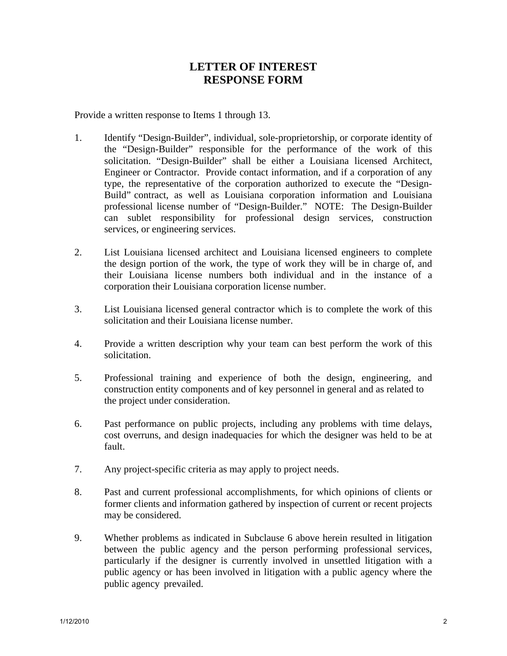# **LETTER OF INTEREST RESPONSE FORM**

Provide a written response to Items 1 through 13.

- 1. Identify "Design-Builder", individual, sole-proprietorship, or corporate identity of the "Design-Builder" responsible for the performance of the work of this solicitation. "Design-Builder" shall be either a Louisiana licensed Architect, Engineer or Contractor. Provide contact information, and if a corporation of any type, the representative of the corporation authorized to execute the "Design- Build" contract, as well as Louisiana corporation information and Louisiana professional license number of "Design-Builder." NOTE: The Design-Builder can sublet responsibility for professional design services, construction services, or engineering services.
- 2. List Louisiana licensed architect and Louisiana licensed engineers to complete the design portion of the work, the type of work they will be in charge of, and their Louisiana license numbers both individual and in the instance of a corporation their Louisiana corporation license number.
- 3. List Louisiana licensed general contractor which is to complete the work of this solicitation and their Louisiana license number.
- 4. Provide a written description why your team can best perform the work of this solicitation.
- 5. Professional training and experience of both the design, engineering, and construction entity components and of key personnel in general and as related to the project under consideration.
- 6. Past performance on public projects, including any problems with time delays, cost overruns, and design inadequacies for which the designer was held to be at fault.
- 7. Any project-specific criteria as may apply to project needs.
- 8. Past and current professional accomplishments, for which opinions of clients or former clients and information gathered by inspection of current or recent projects may be considered.
- 9. Whether problems as indicated in Subclause 6 above herein resulted in litigation between the public agency and the person performing professional services, particularly if the designer is currently involved in unsettled litigation with a public agency or has been involved in litigation with a public agency where the public agency prevailed.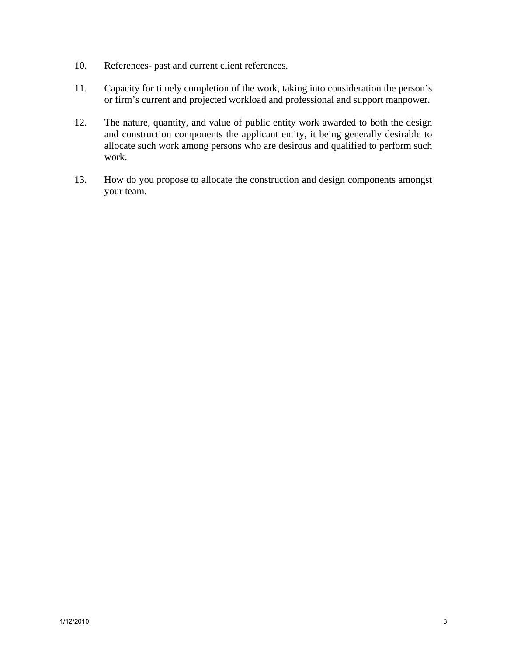- 10. References- past and current client references.
- 11. Capacity for timely completion of the work, taking into consideration the person's or firm's current and projected workload and professional and support manpower.
- 12. The nature, quantity, and value of public entity work awarded to both the design and construction components the applicant entity, it being generally desirable to allocate such work among persons who are desirous and qualified to perform such work.
- 13. How do you propose to allocate the construction and design components amongst your team.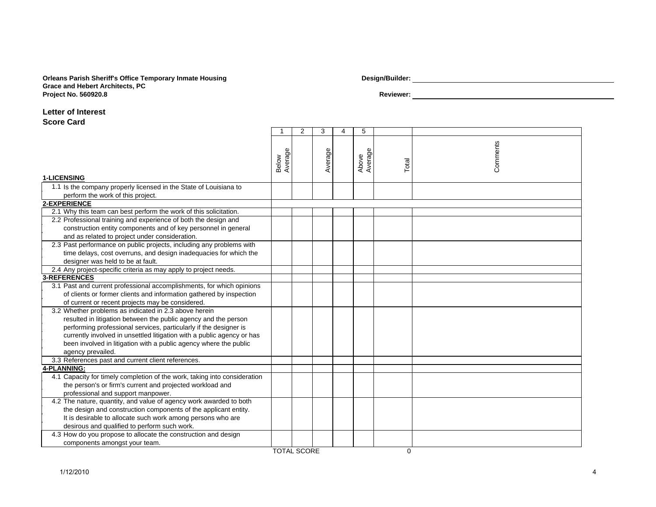### **Orleans Parish Sheriff's Office Temporary Inmate Housing Design/Builder: Grace and Hebert Architects, P C Project No. 560920.8 Reviewer:**

#### **Letter of Interest**

#### **Score Card**

|                                                                                                        | -1                 | $\overline{2}$ | 3       | $\overline{4}$ | 5                |          |          |
|--------------------------------------------------------------------------------------------------------|--------------------|----------------|---------|----------------|------------------|----------|----------|
| <b>1-LICENSING</b>                                                                                     | Average<br>Below   |                | Average |                | Average<br>Above | Total    | Comments |
|                                                                                                        |                    |                |         |                |                  |          |          |
| 1.1 Is the company properly licensed in the State of Louisiana to<br>perform the work of this project. |                    |                |         |                |                  |          |          |
| 2-EXPERIENCE                                                                                           |                    |                |         |                |                  |          |          |
| 2.1 Why this team can best perform the work of this solicitation.                                      |                    |                |         |                |                  |          |          |
| 2.2 Professional training and experience of both the design and                                        |                    |                |         |                |                  |          |          |
| construction entity components and of key personnel in general                                         |                    |                |         |                |                  |          |          |
| and as related to project under consideration.                                                         |                    |                |         |                |                  |          |          |
| 2.3 Past performance on public projects, including any problems with                                   |                    |                |         |                |                  |          |          |
| time delays, cost overruns, and design inadequacies for which the                                      |                    |                |         |                |                  |          |          |
| designer was held to be at fault.                                                                      |                    |                |         |                |                  |          |          |
| 2.4 Any project-specific criteria as may apply to project needs.                                       |                    |                |         |                |                  |          |          |
| 3-REFERENCES                                                                                           |                    |                |         |                |                  |          |          |
| 3.1 Past and current professional accomplishments, for which opinions                                  |                    |                |         |                |                  |          |          |
| of clients or former clients and information gathered by inspection                                    |                    |                |         |                |                  |          |          |
| of current or recent projects may be considered.                                                       |                    |                |         |                |                  |          |          |
| 3.2 Whether problems as indicated in 2.3 above herein                                                  |                    |                |         |                |                  |          |          |
| resulted in litigation between the public agency and the person                                        |                    |                |         |                |                  |          |          |
| performing professional services, particularly if the designer is                                      |                    |                |         |                |                  |          |          |
| currently involved in unsettled litigation with a public agency or has                                 |                    |                |         |                |                  |          |          |
| been involved in litigation with a public agency where the public                                      |                    |                |         |                |                  |          |          |
| agency prevailed.                                                                                      |                    |                |         |                |                  |          |          |
| 3.3 References past and current client references.                                                     |                    |                |         |                |                  |          |          |
| 4-PLANNING:                                                                                            |                    |                |         |                |                  |          |          |
| 4.1 Capacity for timely completion of the work, taking into consideration                              |                    |                |         |                |                  |          |          |
| the person's or firm's current and projected workload and                                              |                    |                |         |                |                  |          |          |
| professional and support manpower.                                                                     |                    |                |         |                |                  |          |          |
| 4.2 The nature, quantity, and value of agency work awarded to both                                     |                    |                |         |                |                  |          |          |
| the design and construction components of the applicant entity.                                        |                    |                |         |                |                  |          |          |
| It is desirable to allocate such work among persons who are                                            |                    |                |         |                |                  |          |          |
| desirous and qualified to perform such work.                                                           |                    |                |         |                |                  |          |          |
| 4.3 How do you propose to allocate the construction and design                                         |                    |                |         |                |                  |          |          |
| components amongst your team.                                                                          |                    |                |         |                |                  |          |          |
|                                                                                                        | <b>TOTAL SCORE</b> |                |         |                |                  | $\Omega$ |          |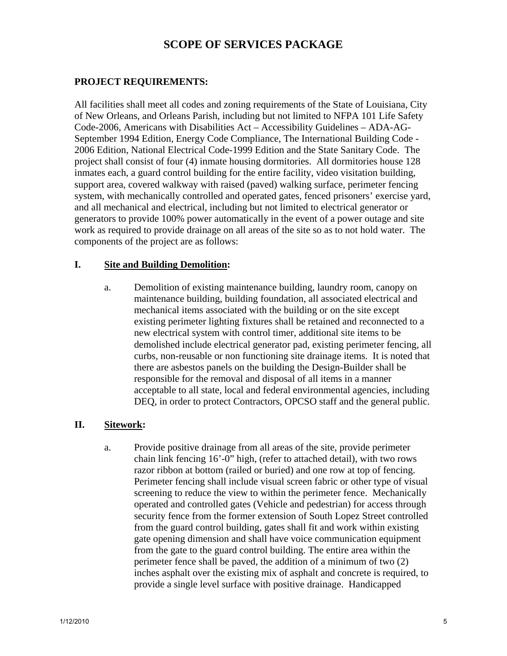# **SCOPE OF SERVICES PACKAGE**

# **PROJECT REQUIREMENTS:**

All facilities shall meet all codes and zoning requirements of the State of Louisiana, City of New Orleans, and Orleans Parish, including but not limited to NFPA 101 Life Safety Code-2006, Americans with Disabilities Act – Accessibility Guidelines – ADA-AG-September 1994 Edition, Energy Code Compliance, The International Building Code - 2006 Edition, National Electrical Code-1999 Edition and the State Sanitary Code. The project shall consist of four (4) inmate housing dormitories. All dormitories house 128 inmates each, a guard control building for the entire facility, video visitation building, support area, covered walkway with raised (paved) walking surface, perimeter fencing system, with mechanically controlled and operated gates, fenced prisoners' exercise yard, and all mechanical and electrical, including but not limited to electrical generator or generators to provide 100% power automatically in the event of a power outage and site work as required to provide drainage on all areas of the site so as to not hold water. The components of the project are as follows:

# **I. Site and Building Demolition:**

a. Demolition of existing maintenance building, laundry room, canopy on maintenance building, building foundation, all associated electrical and mechanical items associated with the building or on the site except existing perimeter lighting fixtures shall be retained and reconnected to a new electrical system with control timer, additional site items to be demolished include electrical generator pad, existing perimeter fencing, all curbs, non-reusable or non functioning site drainage items. It is noted that there are asbestos panels on the building the Design-Builder shall be responsible for the removal and disposal of all items in a manner acceptable to all state, local and federal environmental agencies, including DEQ, in order to protect Contractors, OPCSO staff and the general public.

# **II. Sitework:**

a. Provide positive drainage from all areas of the site, provide perimeter chain link fencing 16'-0" high, (refer to attached detail), with two rows razor ribbon at bottom (railed or buried) and one row at top of fencing. Perimeter fencing shall include visual screen fabric or other type of visual screening to reduce the view to within the perimeter fence. Mechanically operated and controlled gates (Vehicle and pedestrian) for access through security fence from the former extension of South Lopez Street controlled from the guard control building, gates shall fit and work within existing gate opening dimension and shall have voice communication equipment from the gate to the guard control building. The entire area within the perimeter fence shall be paved, the addition of a minimum of two (2) inches asphalt over the existing mix of asphalt and concrete is required, to provide a single level surface with positive drainage. Handicapped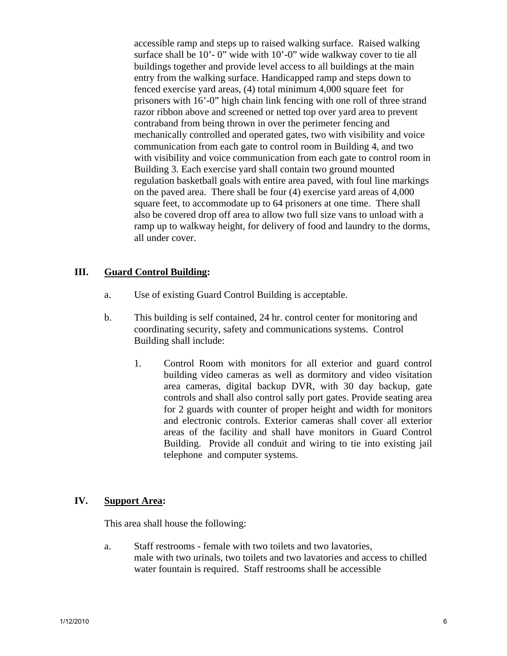accessible ramp and steps up to raised walking surface. Raised walking surface shall be 10'- 0" wide with 10'-0" wide walkway cover to tie all buildings together and provide level access to all buildings at the main entry from the walking surface. Handicapped ramp and steps down to fenced exercise yard areas, (4) total minimum 4,000 square feet for prisoners with 16'-0" high chain link fencing with one roll of three strand razor ribbon above and screened or netted top over yard area to prevent contraband from being thrown in over the perimeter fencing and mechanically controlled and operated gates, two with visibility and voice communication from each gate to control room in Building 4, and two with visibility and voice communication from each gate to control room in Building 3. Each exercise yard shall contain two ground mounted regulation basketball goals with entire area paved, with foul line markings on the paved area. There shall be four (4) exercise yard areas of 4,000 square feet, to accommodate up to 64 prisoners at one time. There shall also be covered drop off area to allow two full size vans to unload with a ramp up to walkway height, for delivery of food and laundry to the dorms, all under cover.

# **III. Guard Control Building:**

- a. Use of existing Guard Control Building is acceptable.
- b. This building is self contained, 24 hr. control center for monitoring and coordinating security, safety and communications systems. Control Building shall include:
	- 1. Control Room with monitors for all exterior and guard control building video cameras as well as dormitory and video visitation area cameras, digital backup DVR, with 30 day backup, gate controls and shall also control sally port gates. Provide seating area for 2 guards with counter of proper height and width for monitors and electronic controls. Exterior cameras shall cover all exterior areas of the facility and shall have monitors in Guard Control Building. Provide all conduit and wiring to tie into existing jail telephone and computer systems.

## **IV. Support Area:**

This area shall house the following:

 a. Staff restrooms - female with two toilets and two lavatories, male with two urinals, two toilets and two lavatories and access to chilled water fountain is required. Staff restrooms shall be accessible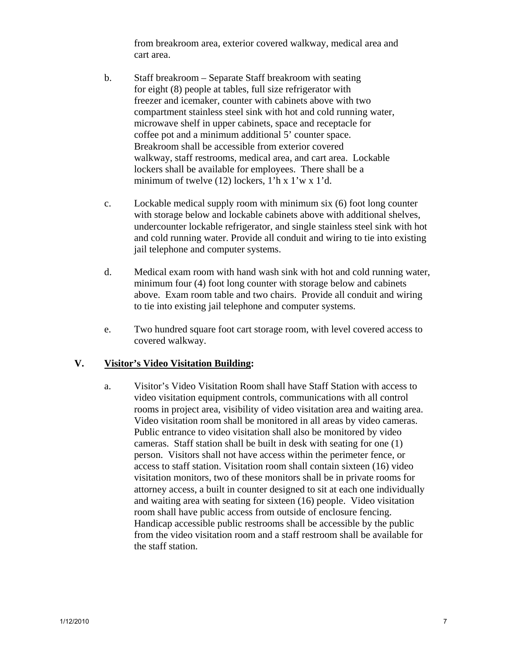from breakroom area, exterior covered walkway, medical area and cart area.

- b. Staff breakroom Separate Staff breakroom with seating for eight (8) people at tables, full size refrigerator with freezer and icemaker, counter with cabinets above with two compartment stainless steel sink with hot and cold running water, microwave shelf in upper cabinets, space and receptacle for coffee pot and a minimum additional 5' counter space. Breakroom shall be accessible from exterior covered walkway, staff restrooms, medical area, and cart area. Lockable lockers shall be available for employees. There shall be a minimum of twelve (12) lockers, 1'h x 1'w x 1'd.
- c. Lockable medical supply room with minimum six (6) foot long counter with storage below and lockable cabinets above with additional shelves, undercounter lockable refrigerator, and single stainless steel sink with hot and cold running water. Provide all conduit and wiring to tie into existing jail telephone and computer systems.
- d. Medical exam room with hand wash sink with hot and cold running water, minimum four (4) foot long counter with storage below and cabinets above. Exam room table and two chairs. Provide all conduit and wiring to tie into existing jail telephone and computer systems.
- e. Two hundred square foot cart storage room, with level covered access to covered walkway.

# **V. Visitor's Video Visitation Building:**

 a. Visitor's Video Visitation Room shall have Staff Station with access to video visitation equipment controls, communications with all control rooms in project area, visibility of video visitation area and waiting area. Video visitation room shall be monitored in all areas by video cameras. Public entrance to video visitation shall also be monitored by video cameras. Staff station shall be built in desk with seating for one (1) person. Visitors shall not have access within the perimeter fence, or access to staff station. Visitation room shall contain sixteen (16) video visitation monitors, two of these monitors shall be in private rooms for attorney access, a built in counter designed to sit at each one individually and waiting area with seating for sixteen (16) people. Video visitation room shall have public access from outside of enclosure fencing. Handicap accessible public restrooms shall be accessible by the public from the video visitation room and a staff restroom shall be available for the staff station.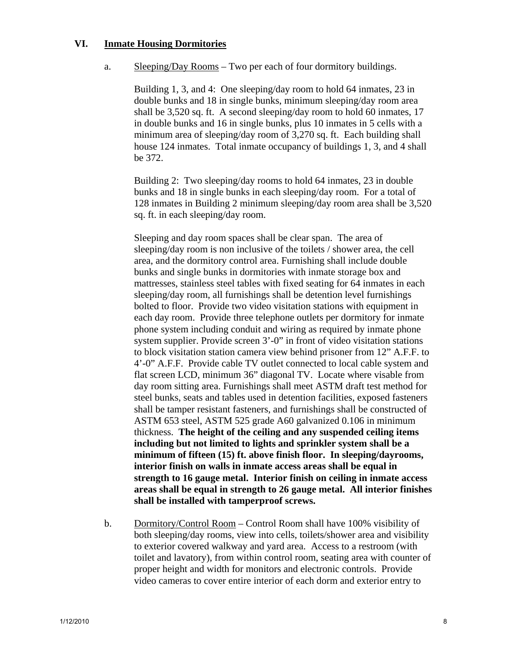# **VI. Inmate Housing Dormitories**

a. Sleeping/Day Rooms – Two per each of four dormitory buildings.

 Building 1, 3, and 4: One sleeping/day room to hold 64 inmates, 23 in double bunks and 18 in single bunks, minimum sleeping/day room area shall be 3,520 sq. ft. A second sleeping/day room to hold 60 inmates, 17 in double bunks and 16 in single bunks, plus 10 inmates in 5 cells with a minimum area of sleeping/day room of 3,270 sq. ft. Each building shall house 124 inmates. Total inmate occupancy of buildings 1, 3, and 4 shall be 372.

 Building 2: Two sleeping/day rooms to hold 64 inmates, 23 in double bunks and 18 in single bunks in each sleeping/day room. For a total of 128 inmates in Building 2 minimum sleeping/day room area shall be 3,520 sq. ft. in each sleeping/day room.

 Sleeping and day room spaces shall be clear span. The area of sleeping/day room is non inclusive of the toilets / shower area, the cell area, and the dormitory control area. Furnishing shall include double bunks and single bunks in dormitories with inmate storage box and mattresses, stainless steel tables with fixed seating for 64 inmates in each sleeping/day room, all furnishings shall be detention level furnishings bolted to floor. Provide two video visitation stations with equipment in each day room. Provide three telephone outlets per dormitory for inmate phone system including conduit and wiring as required by inmate phone system supplier. Provide screen 3'-0" in front of video visitation stations to block visitation station camera view behind prisoner from 12" A.F.F. to 4'-0" A.F.F. Provide cable TV outlet connected to local cable system and flat screen LCD, minimum 36" diagonal TV. Locate where visable from day room sitting area. Furnishings shall meet ASTM draft test method for steel bunks, seats and tables used in detention facilities, exposed fasteners shall be tamper resistant fasteners, and furnishings shall be constructed of ASTM 653 steel, ASTM 525 grade A60 galvanized 0.106 in minimum thickness. **The height of the ceiling and any suspended ceiling items including but not limited to lights and sprinkler system shall be a minimum of fifteen (15) ft. above finish floor. In sleeping/dayrooms, interior finish on walls in inmate access areas shall be equal in strength to 16 gauge metal. Interior finish on ceiling in inmate access areas shall be equal in strength to 26 gauge metal. All interior finishes shall be installed with tamperproof screws.** 

 b. Dormitory/Control Room – Control Room shall have 100% visibility of both sleeping/day rooms, view into cells, toilets/shower area and visibility to exterior covered walkway and yard area. Access to a restroom (with toilet and lavatory), from within control room, seating area with counter of proper height and width for monitors and electronic controls. Provide video cameras to cover entire interior of each dorm and exterior entry to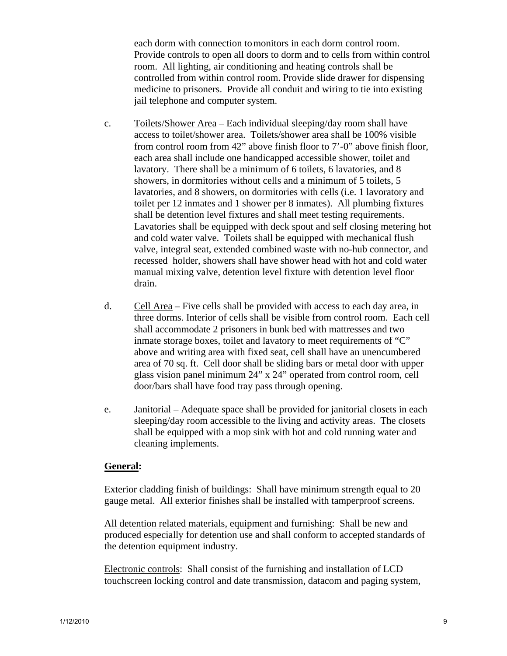each dorm with connection to monitors in each dorm control room. Provide controls to open all doors to dorm and to cells from within control room. All lighting, air conditioning and heating controls shall be controlled from within control room. Provide slide drawer for dispensing medicine to prisoners. Provide all conduit and wiring to tie into existing jail telephone and computer system.

- c. Toilets/Shower Area Each individual sleeping/day room shall have access to toilet/shower area. Toilets/shower area shall be 100% visible from control room from 42" above finish floor to 7'-0" above finish floor, each area shall include one handicapped accessible shower, toilet and lavatory. There shall be a minimum of 6 toilets, 6 lavatories, and 8 showers, in dormitories without cells and a minimum of 5 toilets, 5 lavatories, and 8 showers, on dormitories with cells (i.e. 1 lavoratory and toilet per 12 inmates and 1 shower per 8 inmates). All plumbing fixtures shall be detention level fixtures and shall meet testing requirements. Lavatories shall be equipped with deck spout and self closing metering hot and cold water valve. Toilets shall be equipped with mechanical flush valve, integral seat, extended combined waste with no-hub connector, and recessed holder, showers shall have shower head with hot and cold water manual mixing valve, detention level fixture with detention level floor drain.
- d. Cell Area Five cells shall be provided with access to each day area, in three dorms. Interior of cells shall be visible from control room. Each cell shall accommodate 2 prisoners in bunk bed with mattresses and two inmate storage boxes, toilet and lavatory to meet requirements of "C" above and writing area with fixed seat, cell shall have an unencumbered area of 70 sq. ft. Cell door shall be sliding bars or metal door with upper glass vision panel minimum 24" x 24" operated from control room, cell door/bars shall have food tray pass through opening.
- e. Janitorial Adequate space shall be provided for janitorial closets in each sleeping/day room accessible to the living and activity areas. The closets shall be equipped with a mop sink with hot and cold running water and cleaning implements.

# **General:**

Exterior cladding finish of buildings: Shall have minimum strength equal to 20 gauge metal. All exterior finishes shall be installed with tamperproof screens.

All detention related materials, equipment and furnishing: Shall be new and produced especially for detention use and shall conform to accepted standards of the detention equipment industry.

Electronic controls: Shall consist of the furnishing and installation of LCD touchscreen locking control and date transmission, datacom and paging system,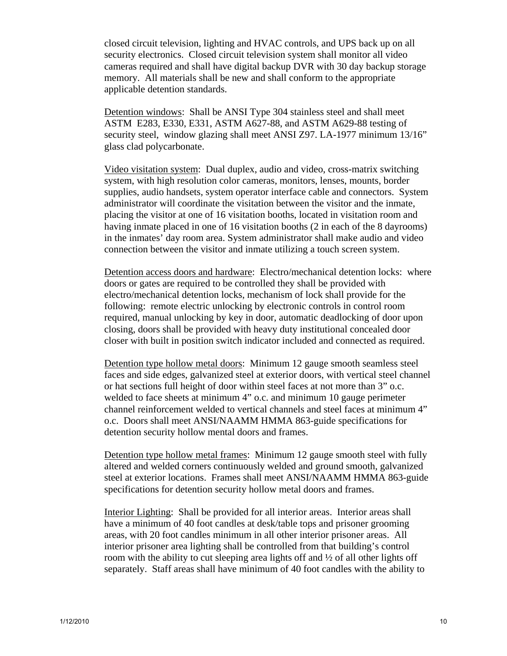closed circuit television, lighting and HVAC controls, and UPS back up on all security electronics. Closed circuit television system shall monitor all video cameras required and shall have digital backup DVR with 30 day backup storage memory. All materials shall be new and shall conform to the appropriate applicable detention standards.

Detention windows: Shall be ANSI Type 304 stainless steel and shall meet ASTM E283, E330, E331, ASTM A627-88, and ASTM A629-88 testing of security steel, window glazing shall meet ANSI Z97. LA-1977 minimum 13/16" glass clad polycarbonate.

Video visitation system: Dual duplex, audio and video, cross-matrix switching system, with high resolution color cameras, monitors, lenses, mounts, border supplies, audio handsets, system operator interface cable and connectors. System administrator will coordinate the visitation between the visitor and the inmate, placing the visitor at one of 16 visitation booths, located in visitation room and having inmate placed in one of 16 visitation booths (2 in each of the 8 dayrooms) in the inmates' day room area. System administrator shall make audio and video connection between the visitor and inmate utilizing a touch screen system.

Detention access doors and hardware: Electro/mechanical detention locks: where doors or gates are required to be controlled they shall be provided with electro/mechanical detention locks, mechanism of lock shall provide for the following: remote electric unlocking by electronic controls in control room required, manual unlocking by key in door, automatic deadlocking of door upon closing, doors shall be provided with heavy duty institutional concealed door closer with built in position switch indicator included and connected as required.

Detention type hollow metal doors: Minimum 12 gauge smooth seamless steel faces and side edges, galvanized steel at exterior doors, with vertical steel channel or hat sections full height of door within steel faces at not more than 3" o.c. welded to face sheets at minimum 4" o.c. and minimum 10 gauge perimeter channel reinforcement welded to vertical channels and steel faces at minimum 4" o.c. Doors shall meet ANSI/NAAMM HMMA 863-guide specifications for detention security hollow mental doors and frames.

Detention type hollow metal frames: Minimum 12 gauge smooth steel with fully altered and welded corners continuously welded and ground smooth, galvanized steel at exterior locations. Frames shall meet ANSI/NAAMM HMMA 863-guide specifications for detention security hollow metal doors and frames.

Interior Lighting: Shall be provided for all interior areas. Interior areas shall have a minimum of 40 foot candles at desk/table tops and prisoner grooming areas, with 20 foot candles minimum in all other interior prisoner areas. All interior prisoner area lighting shall be controlled from that building's control room with the ability to cut sleeping area lights off and ½ of all other lights off separately. Staff areas shall have minimum of 40 foot candles with the ability to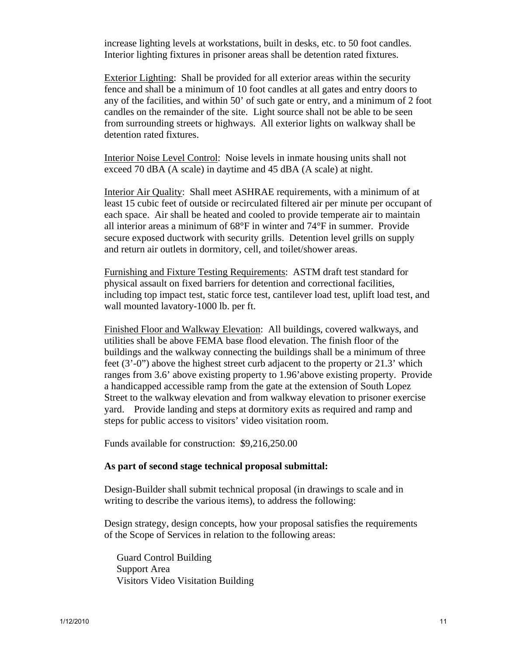increase lighting levels at workstations, built in desks, etc. to 50 foot candles. Interior lighting fixtures in prisoner areas shall be detention rated fixtures.

Exterior Lighting: Shall be provided for all exterior areas within the security fence and shall be a minimum of 10 foot candles at all gates and entry doors to any of the facilities, and within 50' of such gate or entry, and a minimum of 2 foot candles on the remainder of the site. Light source shall not be able to be seen from surrounding streets or highways. All exterior lights on walkway shall be detention rated fixtures.

Interior Noise Level Control: Noise levels in inmate housing units shall not exceed 70 dBA (A scale) in daytime and 45 dBA (A scale) at night.

Interior Air Quality: Shall meet ASHRAE requirements, with a minimum of at least 15 cubic feet of outside or recirculated filtered air per minute per occupant of each space. Air shall be heated and cooled to provide temperate air to maintain all interior areas a minimum of 68°F in winter and 74°F in summer. Provide secure exposed ductwork with security grills. Detention level grills on supply and return air outlets in dormitory, cell, and toilet/shower areas.

Furnishing and Fixture Testing Requirements: ASTM draft test standard for physical assault on fixed barriers for detention and correctional facilities, including top impact test, static force test, cantilever load test, uplift load test, and wall mounted lavatory-1000 lb. per ft.

Finished Floor and Walkway Elevation: All buildings, covered walkways, and utilities shall be above FEMA base flood elevation. The finish floor of the buildings and the walkway connecting the buildings shall be a minimum of three feet  $(3'-0'')$  above the highest street curb adjacent to the property or 21.3' which ranges from 3.6' above existing property to 1.96'above existing property. Provide a handicapped accessible ramp from the gate at the extension of South Lopez Street to the walkway elevation and from walkway elevation to prisoner exercise yard. Provide landing and steps at dormitory exits as required and ramp and steps for public access to visitors' video visitation room.

Funds available for construction: \$9,216,250.00

### **As part of second stage technical proposal submittal:**

 Design-Builder shall submit technical proposal (in drawings to scale and in writing to describe the various items), to address the following:

 Design strategy, design concepts, how your proposal satisfies the requirements of the Scope of Services in relation to the following areas:

 Guard Control Building Support Area Visitors Video Visitation Building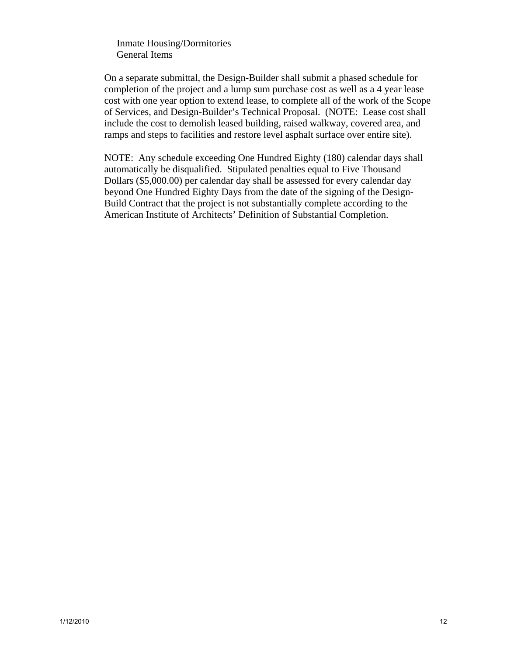Inmate Housing/Dormitories General Items

 On a separate submittal, the Design-Builder shall submit a phased schedule for completion of the project and a lump sum purchase cost as well as a 4 year lease cost with one year option to extend lease, to complete all of the work of the Scope of Services, and Design-Builder's Technical Proposal. (NOTE: Lease cost shall include the cost to demolish leased building, raised walkway, covered area, and ramps and steps to facilities and restore level asphalt surface over entire site).

 NOTE: Any schedule exceeding One Hundred Eighty (180) calendar days shall automatically be disqualified. Stipulated penalties equal to Five Thousand Dollars (\$5,000.00) per calendar day shall be assessed for every calendar day beyond One Hundred Eighty Days from the date of the signing of the Design- Build Contract that the project is not substantially complete according to the American Institute of Architects' Definition of Substantial Completion.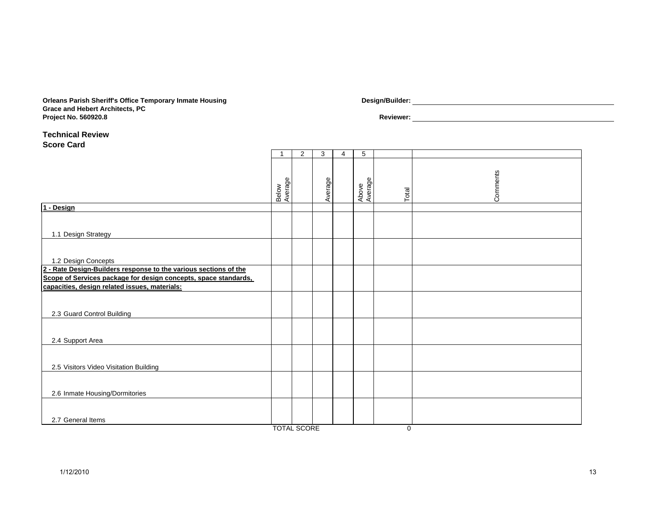#### **Orleans Parish Sheriff's Office Temporary Inmate Housing Design/Builder: Grace and Hebert Architects, P C Project No. 560920.8 Reviewer:**

#### **Technical ReviewScore Card**

|                                                                  | 1                | 2 | 3       | 4 | 5                |       |          |  |  |  |
|------------------------------------------------------------------|------------------|---|---------|---|------------------|-------|----------|--|--|--|
|                                                                  | Below<br>Average |   | Average |   | Average<br>Above | Total | Comments |  |  |  |
| 1 - Design                                                       |                  |   |         |   |                  |       |          |  |  |  |
| 1.1 Design Strategy                                              |                  |   |         |   |                  |       |          |  |  |  |
| 1.2 Design Concepts                                              |                  |   |         |   |                  |       |          |  |  |  |
| 2 - Rate Design-Builders response to the various sections of the |                  |   |         |   |                  |       |          |  |  |  |
| Scope of Services package for design concepts, space standards,  |                  |   |         |   |                  |       |          |  |  |  |
| capacities, design related issues, materials:                    |                  |   |         |   |                  |       |          |  |  |  |
| 2.3 Guard Control Building                                       |                  |   |         |   |                  |       |          |  |  |  |
| 2.4 Support Area                                                 |                  |   |         |   |                  |       |          |  |  |  |
| 2.5 Visitors Video Visitation Building                           |                  |   |         |   |                  |       |          |  |  |  |
| 2.6 Inmate Housing/Dormitories                                   |                  |   |         |   |                  |       |          |  |  |  |
| 2.7 General Items                                                |                  |   |         |   |                  |       |          |  |  |  |
| <b>TOTAL SCORE</b><br>0                                          |                  |   |         |   |                  |       |          |  |  |  |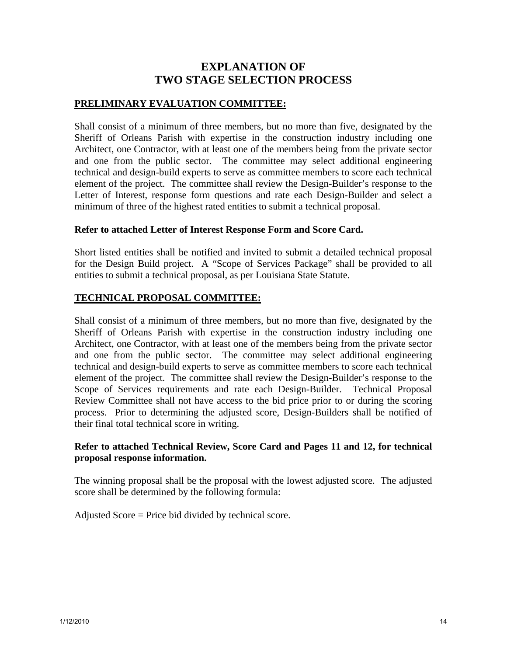# **EXPLANATION OF TWO STAGE SELECTION PROCESS**

# **PRELIMINARY EVALUATION COMMITTEE:**

Shall consist of a minimum of three members, but no more than five, designated by the Sheriff of Orleans Parish with expertise in the construction industry including one Architect, one Contractor, with at least one of the members being from the private sector and one from the public sector. The committee may select additional engineering technical and design-build experts to serve as committee members to score each technical element of the project. The committee shall review the Design-Builder's response to the Letter of Interest, response form questions and rate each Design-Builder and select a minimum of three of the highest rated entities to submit a technical proposal.

# **Refer to attached Letter of Interest Response Form and Score Card.**

Short listed entities shall be notified and invited to submit a detailed technical proposal for the Design Build project. A "Scope of Services Package" shall be provided to all entities to submit a technical proposal, as per Louisiana State Statute.

# **TECHNICAL PROPOSAL COMMITTEE:**

Shall consist of a minimum of three members, but no more than five, designated by the Sheriff of Orleans Parish with expertise in the construction industry including one Architect, one Contractor, with at least one of the members being from the private sector and one from the public sector. The committee may select additional engineering technical and design-build experts to serve as committee members to score each technical element of the project. The committee shall review the Design-Builder's response to the Scope of Services requirements and rate each Design-Builder. Technical Proposal Review Committee shall not have access to the bid price prior to or during the scoring process. Prior to determining the adjusted score, Design-Builders shall be notified of their final total technical score in writing.

# **Refer to attached Technical Review, Score Card and Pages 11 and 12, for technical proposal response information.**

The winning proposal shall be the proposal with the lowest adjusted score. The adjusted score shall be determined by the following formula:

Adjusted Score = Price bid divided by technical score.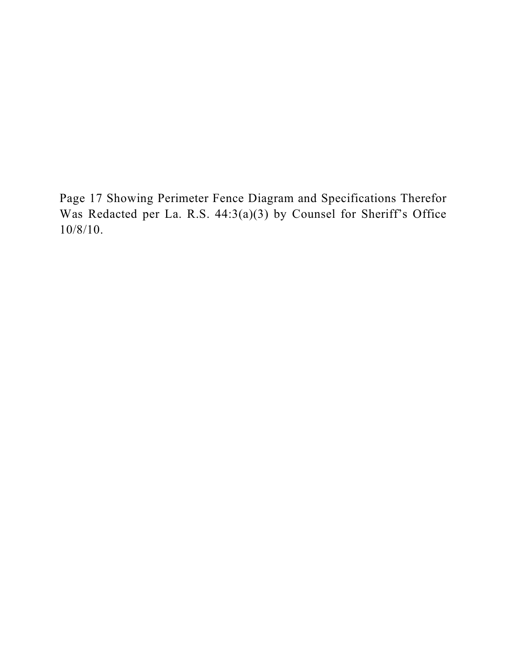Page 17 Showing Perimeter Fence Diagram and Specifications Therefor Was Redacted per La. R.S. 44:3(a)(3) by Counsel for Sheriff's Office 10/8/10.